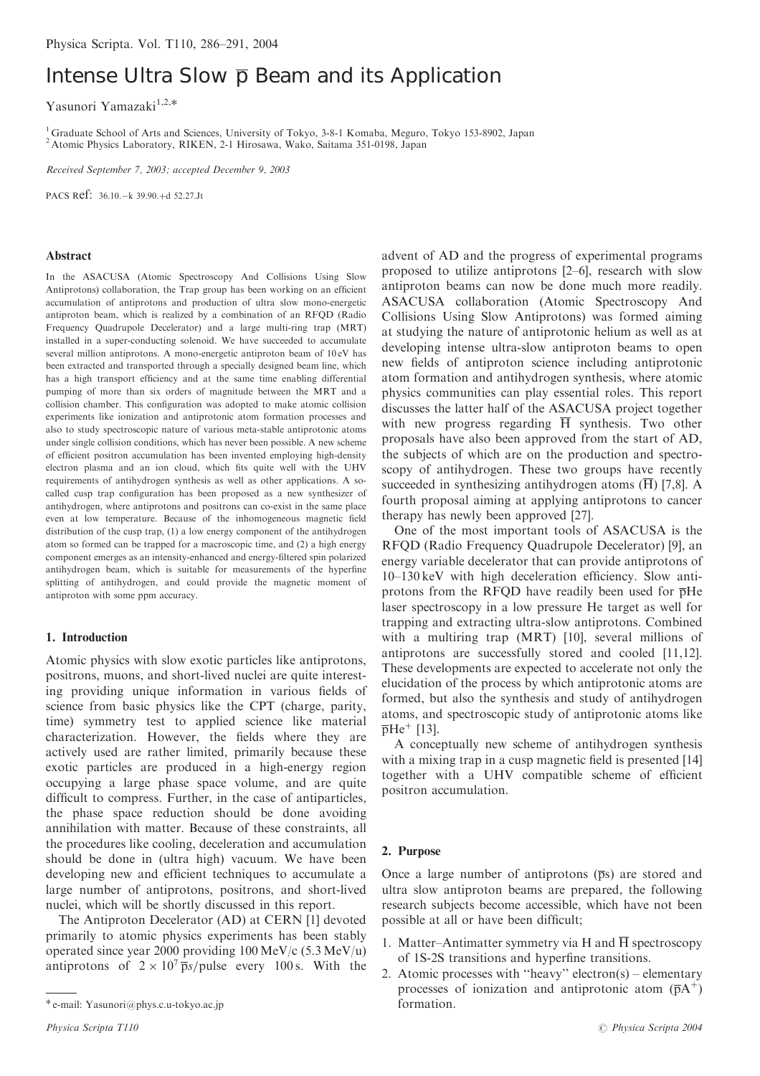# Intense Ultra Slow  $\bar{p}$  Beam and its Application

Yasunori Yamazaki<sup>1,2,\*</sup>

<sup>1</sup> Graduate School of Arts and Sciences, University of Tokyo, 3-8-1 Komaba, Meguro, Tokyo 153-8902, Japan <sup>2</sup> Atomic Physics Laboratory, RIKEN, 2-1 Hirosawa, Wako, Saitama 351-0198, Japan

Received September 7, 2003; accepted December 9, 2003

PACS Ref: 36.10. - k 39.90. + d 52.27. Jt

#### Abstract

In the ASACUSA (Atomic Spectroscopy And Collisions Using Slow Antiprotons) collaboration, the Trap group has been working on an efficient accumulation of antiprotons and production of ultra slow mono-energetic antiproton beam, which is realized by a combination of an RFQD (Radio Frequency Quadrupole Decelerator) and a large multi-ring trap (MRT) installed in a super-conducting solenoid. We have succeeded to accumulate several million antiprotons. A mono-energetic antiproton beam of 10 eV has been extracted and transported through a specially designed beam line, which has a high transport efficiency and at the same time enabling differential pumping of more than six orders of magnitude between the MRT and a collision chamber. This configuration was adopted to make atomic collision experiments like ionization and antiprotonic atom formation processes and also to study spectroscopic nature of various meta-stable antiprotonic atoms under single collision conditions, which has never been possible. A new scheme of efficient positron accumulation has been invented employing high-density electron plasma and an ion cloud, which fits quite well with the UHV requirements of antihydrogen synthesis as well as other applications. A socalled cusp trap configuration has been proposed as a new synthesizer of antihydrogen, where antiprotons and positrons can co-exist in the same place even at low temperature. Because of the inhomogeneous magnetic field distribution of the cusp trap, (1) a low energy component of the antihydrogen atom so formed can be trapped for a macroscopic time, and (2) a high energy component emerges as an intensity-enhanced and energy-filtered spin polarized antihydrogen beam, which is suitable for measurements of the hyperfine splitting of antihydrogen, and could provide the magnetic moment of antiproton with some ppm accuracy.

## 1. Introduction

Atomic physics with slow exotic particles like antiprotons, positrons, muons, and short-lived nuclei are quite interesting providing unique information in various fields of science from basic physics like the CPT (charge, parity, time) symmetry test to applied science like material characterization. However, the fields where they are actively used are rather limited, primarily because these exotic particles are produced in a high-energy region occupying a large phase space volume, and are quite difficult to compress. Further, in the case of antiparticles, the phase space reduction should be done avoiding annihilation with matter. Because of these constraints, all the procedures like cooling, deceleration and accumulation should be done in (ultra high) vacuum. We have been developing new and efficient techniques to accumulate a large number of antiprotons, positrons, and short-lived nuclei, which will be shortly discussed in this report.

The Antiproton Decelerator (AD) at CERN [1] devoted primarily to atomic physics experiments has been stably operated since year 2000 providing 100 MeV/c (5.3 MeV/u) antiprotons of  $2 \times 10^7$  ps/pulse every 100 s. With the

formation. e-mail: Yasunori@phys.c.u-tokyo.ac.jp

advent of AD and the progress of experimental programs proposed to utilize antiprotons [2–6], research with slow antiproton beams can now be done much more readily. ASACUSA collaboration (Atomic Spectroscopy And Collisions Using Slow Antiprotons) was formed aiming at studying the nature of antiprotonic helium as well as at developing intense ultra-slow antiproton beams to open new fields of antiproton science including antiprotonic atom formation and antihydrogen synthesis, where atomic physics communities can play essential roles. This report discusses the latter half of the ASACUSA project together with new progress regarding H synthesis. Two other proposals have also been approved from the start of AD, the subjects of which are on the production and spectroscopy of antihydrogen. These two groups have recently succeeded in synthesizing antihydrogen atoms  $(\overline{H})$  [7,8]. A fourth proposal aiming at applying antiprotons to cancer therapy has newly been approved [27].

One of the most important tools of ASACUSA is the RFQD (Radio Frequency Quadrupole Decelerator) [9], an energy variable decelerator that can provide antiprotons of 10–130 keV with high deceleration efficiency. Slow antiprotons from the RFQD have readily been used for  $\overline{p}$ He laser spectroscopy in a low pressure He target as well for trapping and extracting ultra-slow antiprotons. Combined with a multiring trap (MRT) [10], several millions of antiprotons are successfully stored and cooled [11,12]. These developments are expected to accelerate not only the elucidation of the process by which antiprotonic atoms are formed, but also the synthesis and study of antihydrogen atoms, and spectroscopic study of antiprotonic atoms like  $\overline{p}$ He<sup>+</sup> [13].

A conceptually new scheme of antihydrogen synthesis with a mixing trap in a cusp magnetic field is presented [14] together with a UHV compatible scheme of efficient positron accumulation.

#### 2. Purpose

Once a large number of antiprotons  $\overline{p}_s$  are stored and ultra slow antiproton beams are prepared, the following research subjects become accessible, which have not been possible at all or have been difficult;

- 1. Matter–Antimatter symmetry via H and  $\overline{H}$  spectroscopy of 1S-2S transitions and hyperfine transitions.
- 2. Atomic processes with ''heavy'' electron(s) elementary processes of ionization and antiprotonic atom  $(\overline{p}A^+)$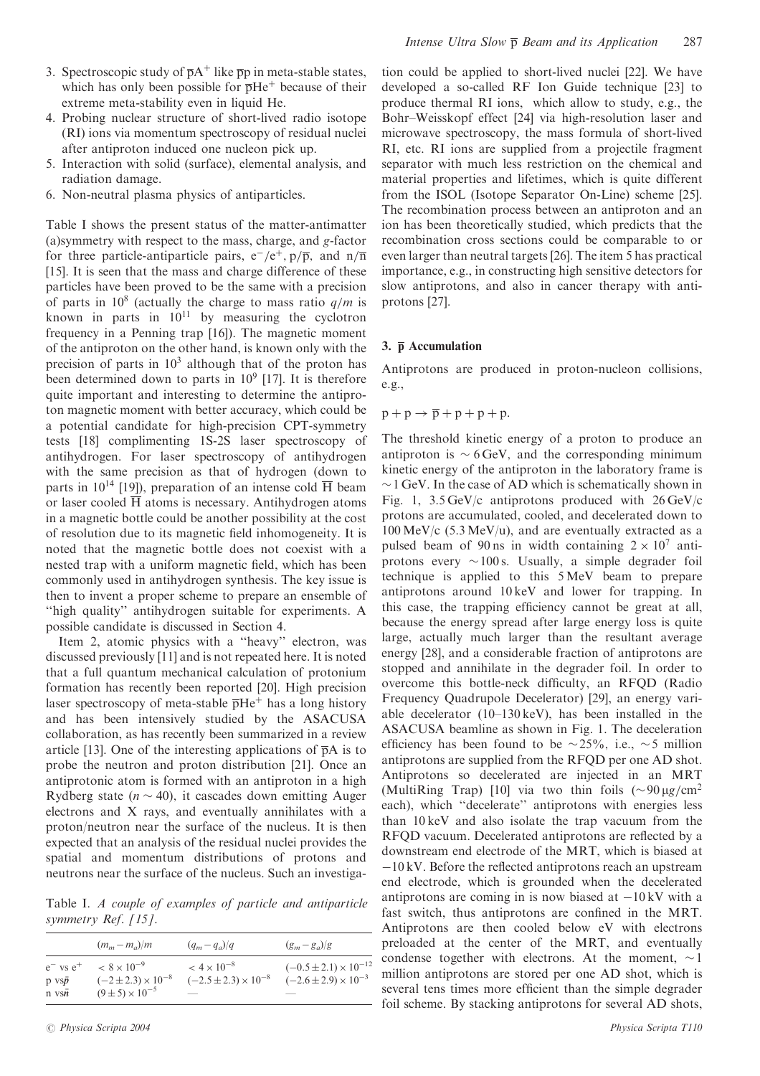- 3. Spectroscopic study of  $\overline{p}A^+$  like  $\overline{p}p$  in meta-stable states, which has only been possible for  $\overline{p}He^+$  because of their extreme meta-stability even in liquid He.
- 4. Probing nuclear structure of short-lived radio isotope (RI) ions via momentum spectroscopy of residual nuclei after antiproton induced one nucleon pick up.
- 5. Interaction with solid (surface), elemental analysis, and radiation damage.
- 6. Non-neutral plasma physics of antiparticles.

Table I shows the present status of the matter-antimatter (a)symmetry with respect to the mass, charge, and g-factor for three particle-antiparticle pairs,  $e^- / e^+$ ,  $p / \overline{p}$ , and  $n / \overline{n}$ [15]. It is seen that the mass and charge difference of these particles have been proved to be the same with a precision of parts in  $10^8$  (actually the charge to mass ratio  $q/m$  is known in parts in  $10^{11}$  by measuring the cyclotron frequency in a Penning trap [16]). The magnetic moment of the antiproton on the other hand, is known only with the precision of parts in  $10<sup>3</sup>$  although that of the proton has been determined down to parts in  $10^9$  [17]. It is therefore quite important and interesting to determine the antiproton magnetic moment with better accuracy, which could be a potential candidate for high-precision CPT-symmetry tests [18] complimenting 1S-2S laser spectroscopy of antihydrogen. For laser spectroscopy of antihydrogen with the same precision as that of hydrogen (down to parts in 10<sup>14</sup> [19]), preparation of an intense cold  $\overline{H}$  beam or laser cooled  $\overline{H}$  atoms is necessary. Antihydrogen atoms in a magnetic bottle could be another possibility at the cost of resolution due to its magnetic field inhomogeneity. It is noted that the magnetic bottle does not coexist with a nested trap with a uniform magnetic field, which has been commonly used in antihydrogen synthesis. The key issue is then to invent a proper scheme to prepare an ensemble of "high quality" antihydrogen suitable for experiments. A possible candidate is discussed in Section 4.

Item 2, atomic physics with a ''heavy'' electron, was discussed previously [11] and is not repeated here. It is noted that a full quantum mechanical calculation of protonium formation has recently been reported [20]. High precision laser spectroscopy of meta-stable  $\overline{p}He^+$  has a long history and has been intensively studied by the ASACUSA collaboration, as has recently been summarized in a review article [13]. One of the interesting applications of  $\overline{p}A$  is to probe the neutron and proton distribution [21]. Once an antiprotonic atom is formed with an antiproton in a high Rydberg state  $(n \sim 40)$ , it cascades down emitting Auger electrons and X rays, and eventually annihilates with a proton/neutron near the surface of the nucleus. It is then expected that an analysis of the residual nuclei provides the spatial and momentum distributions of protons and neutrons near the surface of the nucleus. Such an investiga-

Table I. A couple of examples of particle and antiparticle symmetry Ref. [15].

|                    | $(m_m - m_a)/m$               | $(q_m-q_a)/q$                   | $(g_m - g_a)/g$                  |
|--------------------|-------------------------------|---------------------------------|----------------------------------|
| $e^{-}$ vs $e^{+}$ | $< 8 \times 10^{-9}$          | $< 4 \times 10^{-8}$            | $(-0.5 \pm 2.1) \times 10^{-12}$ |
| $p \, vs \bar{p}$  | $(-2 \pm 2.3) \times 10^{-8}$ | $(-2.5 \pm 2.3) \times 10^{-8}$ | $(-2.6 \pm 2.9) \times 10^{-3}$  |
| n vs $\bar{n}$     | $(9 \pm 5) \times 10^{-5}$    |                                 |                                  |

tion could be applied to short-lived nuclei [22]. We have developed a so-called RF Ion Guide technique [23] to produce thermal RI ions, which allow to study, e.g., the Bohr–Weisskopf effect [24] via high-resolution laser and microwave spectroscopy, the mass formula of short-lived RI, etc. RI ions are supplied from a projectile fragment separator with much less restriction on the chemical and material properties and lifetimes, which is quite different from the ISOL (Isotope Separator On-Line) scheme [25]. The recombination process between an antiproton and an ion has been theoretically studied, which predicts that the recombination cross sections could be comparable to or even larger than neutral targets [26]. The item 5 has practical importance, e.g., in constructing high sensitive detectors for slow antiprotons, and also in cancer therapy with antiprotons [27].

## 3.  $\bar{p}$  Accumulation

Antiprotons are produced in proton-nucleon collisions, e.g.,

 $p + p \rightarrow \overline{p} + p + p + p.$ 

The threshold kinetic energy of a proton to produce an antiproton is  $\sim 6 \,\text{GeV}$ , and the corresponding minimum kinetic energy of the antiproton in the laboratory frame is  $\sim$  1 GeV. In the case of AD which is schematically shown in Fig. 1,  $3.5 \text{ GeV/c}$  antiprotons produced with  $26 \text{ GeV/c}$ protons are accumulated, cooled, and decelerated down to  $100 \,\mathrm{MeV/c}$  (5.3 MeV/u), and are eventually extracted as a pulsed beam of 90 ns in width containing  $2 \times 10^7$  antiprotons every  $\sim 100$  s. Usually, a simple degrader foil technique is applied to this 5 MeV beam to prepare antiprotons around 10 keV and lower for trapping. In this case, the trapping efficiency cannot be great at all, because the energy spread after large energy loss is quite large, actually much larger than the resultant average energy [28], and a considerable fraction of antiprotons are stopped and annihilate in the degrader foil. In order to overcome this bottle-neck difficulty, an RFQD (Radio Frequency Quadrupole Decelerator) [29], an energy variable decelerator (10–130 keV), has been installed in the ASACUSA beamline as shown in Fig. 1. The deceleration efficiency has been found to be  $\sim$ 25%, i.e.,  $\sim$ 5 million antiprotons are supplied from the RFQD per one AD shot. Antiprotons so decelerated are injected in an MRT (MultiRing Trap) [10] via two thin foils  $(\sim 90 \,\mu g/cm^2$ each), which ''decelerate'' antiprotons with energies less than 10 keV and also isolate the trap vacuum from the RFQD vacuum. Decelerated antiprotons are reflected by a downstream end electrode of the MRT, which is biased at -10 kV: Before the reflected antiprotons reach an upstream end electrode, which is grounded when the decelerated antiprotons are coming in is now biased at  $-10 \text{kV}$  with a fast switch, thus antiprotons are confined in the MRT. Antiprotons are then cooled below eV with electrons preloaded at the center of the MRT, and eventually condense together with electrons. At the moment,  $\sim$  1 million antiprotons are stored per one AD shot, which is several tens times more efficient than the simple degrader foil scheme. By stacking antiprotons for several AD shots,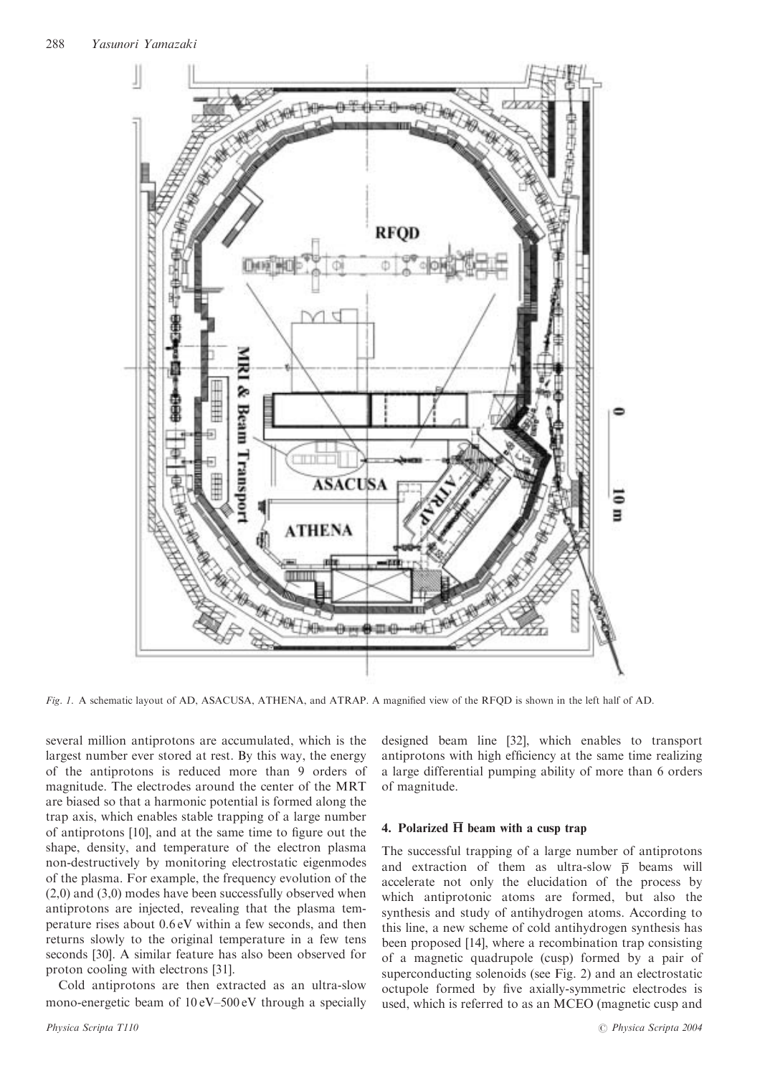

Fig. 1. A schematic layout of AD, ASACUSA, ATHENA, and ATRAP. A magnified view of the RFQD is shown in the left half of AD.

several million antiprotons are accumulated, which is the largest number ever stored at rest. By this way, the energy of the antiprotons is reduced more than 9 orders of magnitude. The electrodes around the center of the MRT are biased so that a harmonic potential is formed along the trap axis, which enables stable trapping of a large number of antiprotons [10], and at the same time to figure out the shape, density, and temperature of the electron plasma non-destructively by monitoring electrostatic eigenmodes of the plasma. For example, the frequency evolution of the (2,0) and (3,0) modes have been successfully observed when antiprotons are injected, revealing that the plasma temperature rises about 0.6 eV within a few seconds, and then returns slowly to the original temperature in a few tens seconds [30]. A similar feature has also been observed for proton cooling with electrons [31].

Cold antiprotons are then extracted as an ultra-slow mono-energetic beam of 10 eV–500 eV through a specially designed beam line [32], which enables to transport antiprotons with high efficiency at the same time realizing a large differential pumping ability of more than 6 orders of magnitude.

## 4. Polarized  $\overline{H}$  beam with a cusp trap

The successful trapping of a large number of antiprotons and extraction of them as ultra-slow  $\bar{p}$  beams will accelerate not only the elucidation of the process by which antiprotonic atoms are formed, but also the synthesis and study of antihydrogen atoms. According to this line, a new scheme of cold antihydrogen synthesis has been proposed [14], where a recombination trap consisting of a magnetic quadrupole (cusp) formed by a pair of superconducting solenoids (see Fig. 2) and an electrostatic octupole formed by five axially-symmetric electrodes is used, which is referred to as an MCEO (magnetic cusp and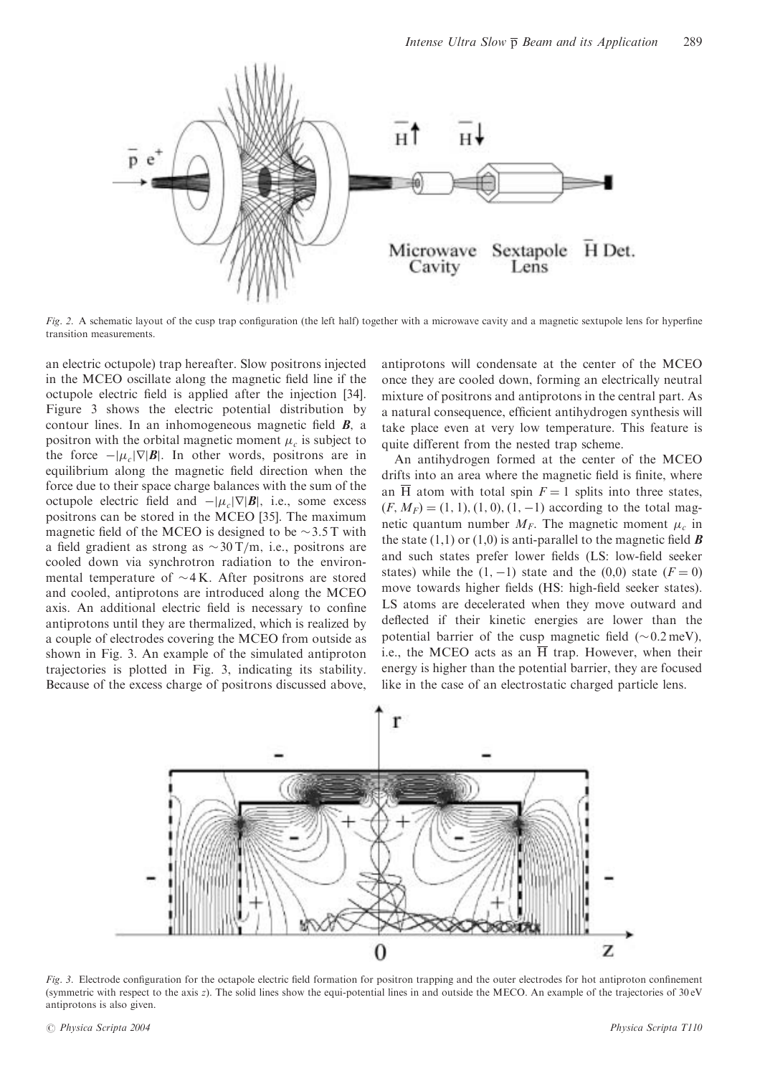

Fig. 2. A schematic layout of the cusp trap configuration (the left half) together with a microwave cavity and a magnetic sextupole lens for hyperfine transition measurements.

an electric octupole) trap hereafter. Slow positrons injected in the MCEO oscillate along the magnetic field line if the octupole electric field is applied after the injection [34]. Figure 3 shows the electric potential distribution by contour lines. In an inhomogeneous magnetic field  $\bm{B}$ , a positron with the orbital magnetic moment  $\mu_c$  is subject to the force  $-|\mu_c|\nabla|\mathbf{B}|$ . In other words, positrons are in equilibrium along the magnetic field direction when the force due to their space charge balances with the sum of the octupole electric field and  $-|\mu_c|\nabla|\mathbf{B}|$ , i.e., some excess positrons can be stored in the MCEO [35]. The maximum magnetic field of the MCEO is designed to be  $\sim$  3.5 T with a field gradient as strong as  $\sim 30 \text{ T/m}$ , i.e., positrons are cooled down via synchrotron radiation to the environmental temperature of  $\sim$ 4 K. After positrons are stored and cooled, antiprotons are introduced along the MCEO axis. An additional electric field is necessary to confine antiprotons until they are thermalized, which is realized by a couple of electrodes covering the MCEO from outside as shown in Fig. 3. An example of the simulated antiproton trajectories is plotted in Fig. 3, indicating its stability. Because of the excess charge of positrons discussed above,

antiprotons will condensate at the center of the MCEO once they are cooled down, forming an electrically neutral mixture of positrons and antiprotons in the central part. As a natural consequence, efficient antihydrogen synthesis will take place even at very low temperature. This feature is quite different from the nested trap scheme.

An antihydrogen formed at the center of the MCEO drifts into an area where the magnetic field is finite, where an  $\overline{H}$  atom with total spin  $F = 1$  splits into three states,  $(F, M_F) = (1, 1), (1, 0), (1, -1)$  according to the total magnetic quantum number  $M_F$ . The magnetic moment  $\mu_c$  in the state (1,1) or (1,0) is anti-parallel to the magnetic field  $\boldsymbol{B}$ and such states prefer lower fields (LS: low-field seeker states) while the  $(1, -1)$  state and the  $(0,0)$  state  $(F = 0)$ move towards higher fields (HS: high-field seeker states). LS atoms are decelerated when they move outward and deflected if their kinetic energies are lower than the potential barrier of the cusp magnetic field  $(\sim 0.2 \,\text{meV})$ , i.e., the MCEO acts as an  $\overline{H}$  trap. However, when their energy is higher than the potential barrier, they are focused like in the case of an electrostatic charged particle lens.



Fig. 3. Electrode configuration for the octapole electric field formation for positron trapping and the outer electrodes for hot antiproton confinement (symmetric with respect to the axis z). The solid lines show the equi-potential lines in and outside the MECO. An example of the trajectories of 30 eV antiprotons is also given.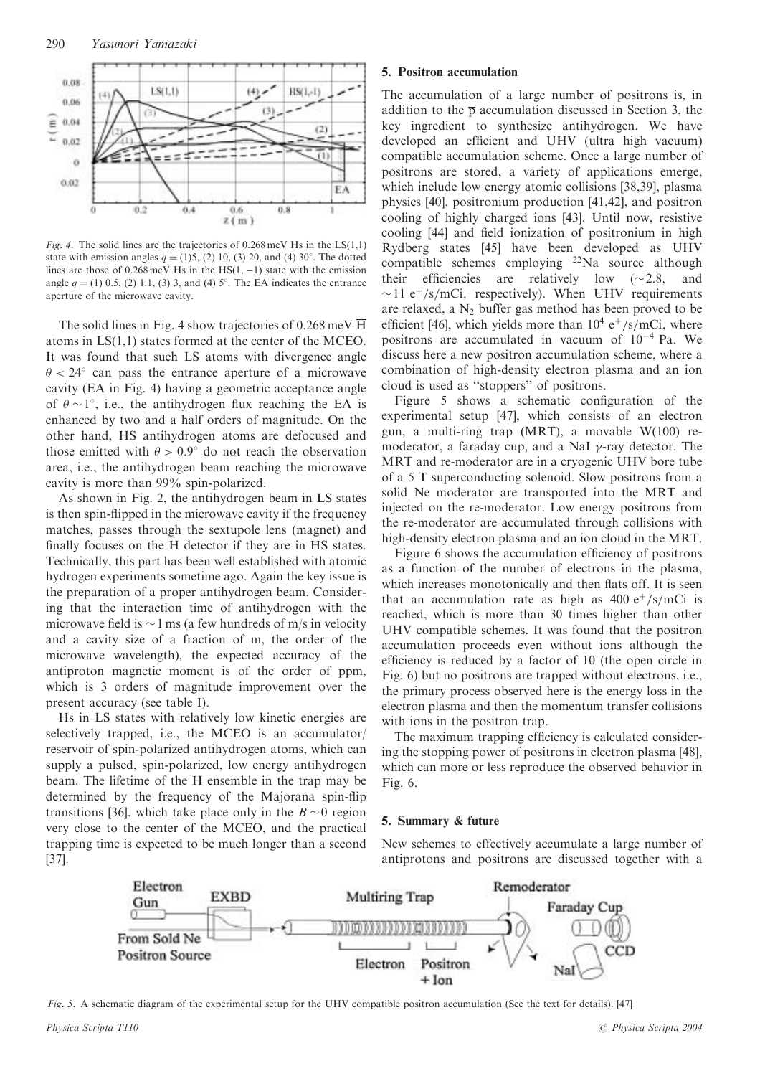

Fig. 4. The solid lines are the trajectories of  $0.268 \text{ meV}$  Hs in the LS(1,1) state with emission angles  $q = (1)5$ , (2) 10, (3) 20, and (4) 30°. The dotted lines are those of  $0.268 \,\text{meV}$  Hs in the HS $(1, -1)$  state with the emission angle  $q = (1)$  0.5, (2) 1.1, (3) 3, and (4) 5°. The EA indicates the entrance aperture of the microwave cavity.

The solid lines in Fig. 4 show trajectories of 0.268 meV H atoms in LS(1,1) states formed at the center of the MCEO. It was found that such LS atoms with divergence angle  $\theta$  < 24 $\degree$  can pass the entrance aperture of a microwave cavity (EA in Fig. 4) having a geometric acceptance angle of  $\theta \sim 1^{\circ}$ , i.e., the antihydrogen flux reaching the EA is enhanced by two and a half orders of magnitude. On the other hand, HS antihydrogen atoms are defocused and those emitted with  $\theta > 0.9^{\circ}$  do not reach the observation area, i.e., the antihydrogen beam reaching the microwave cavity is more than 99% spin-polarized.

As shown in Fig. 2, the antihydrogen beam in LS states is then spin-flipped in the microwave cavity if the frequency matches, passes through the sextupole lens (magnet) and finally focuses on the  $\overline{H}$  detector if they are in HS states. Technically, this part has been well established with atomic hydrogen experiments sometime ago. Again the key issue is the preparation of a proper antihydrogen beam. Considering that the interaction time of antihydrogen with the microwave field is  $\sim$  1 ms (a few hundreds of m/s in velocity and a cavity size of a fraction of m, the order of the microwave wavelength), the expected accuracy of the antiproton magnetic moment is of the order of ppm, which is 3 orders of magnitude improvement over the present accuracy (see table I).

 $\overline{H}$ s in LS states with relatively low kinetic energies are selectively trapped, i.e., the MCEO is an accumulator/ reservoir of spin-polarized antihydrogen atoms, which can supply a pulsed, spin-polarized, low energy antihydrogen beam. The lifetime of the  $\overline{H}$  ensemble in the trap may be determined by the frequency of the Majorana spin-flip transitions [36], which take place only in the  $B \sim 0$  region very close to the center of the MCEO, and the practical trapping time is expected to be much longer than a second [37].

## 5. Positron accumulation

The accumulation of a large number of positrons is, in addition to the  $\bar{p}$  accumulation discussed in Section 3, the key ingredient to synthesize antihydrogen. We have developed an efficient and UHV (ultra high vacuum) compatible accumulation scheme. Once a large number of positrons are stored, a variety of applications emerge, which include low energy atomic collisions [38,39], plasma physics [40], positronium production [41,42], and positron cooling of highly charged ions [43]. Until now, resistive cooling [44] and field ionization of positronium in high Rydberg states [45] have been developed as UHV compatible schemes employing <sup>22</sup>Na source although their efficiencies are relatively low  $(\sim 2.8, \text{ and})$  $\sim$ 11 e<sup>+</sup>/s/mCi, respectively). When UHV requirements are relaxed, a  $N_2$  buffer gas method has been proved to be efficient [46], which yields more than  $10^4$  e<sup>+</sup>/s/mCi, where positrons are accumulated in vacuum of  $10^{-4}$  Pa. We discuss here a new positron accumulation scheme, where a combination of high-density electron plasma and an ion cloud is used as ''stoppers'' of positrons.

Figure 5 shows a schematic configuration of the experimental setup [47], which consists of an electron gun, a multi-ring trap (MRT), a movable W(100) remoderator, a faraday cup, and a NaI  $\gamma$ -ray detector. The MRT and re-moderator are in a cryogenic UHV bore tube of a 5 T superconducting solenoid. Slow positrons from a solid Ne moderator are transported into the MRT and injected on the re-moderator. Low energy positrons from the re-moderator are accumulated through collisions with high-density electron plasma and an ion cloud in the MRT.

Figure 6 shows the accumulation efficiency of positrons as a function of the number of electrons in the plasma, which increases monotonically and then flats off. It is seen that an accumulation rate as high as  $400 e^{+}/s/mCi$  is reached, which is more than 30 times higher than other UHV compatible schemes. It was found that the positron accumulation proceeds even without ions although the efficiency is reduced by a factor of 10 (the open circle in Fig. 6) but no positrons are trapped without electrons, i.e., the primary process observed here is the energy loss in the electron plasma and then the momentum transfer collisions with ions in the positron trap.

The maximum trapping efficiency is calculated considering the stopping power of positrons in electron plasma [48], which can more or less reproduce the observed behavior in Fig. 6.

## 5. Summary & future

New schemes to effectively accumulate a large number of antiprotons and positrons are discussed together with a



Fig. 5. A schematic diagram of the experimental setup for the UHV compatible positron accumulation (See the text for details). [47]